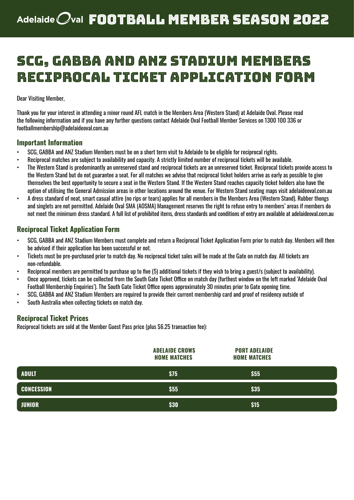### SCG, GABBA and ANZ Stadium Members Reciprocal Ticket Application Form

Dear Visiting Member,

Thank you for your interest in attending a minor round AFL match in the Members Area (Western Stand) at Adelaide Oval. Please read the following information and if you have any further questions contact Adelaide Oval Football Member Services on 1300 100 336 or footballmembership@adelaideoval.com.au

#### **Important Information**

- SCG, GABBA and ANZ Stadium Members must be on a short term visit to Adelaide to be eligible for reciprocal rights.
- Reciprocal matches are subject to availability and capacity. A strictly limited number of reciprocal tickets will be available.
- The Western Stand is predominantly an unreserved stand and reciprocal tickets are an unreserved ticket. Reciprocal tickets provide access to the Western Stand but do not guarantee a seat. For all matches we advise that reciprocal ticket holders arrive as early as possible to give themselves the best opportunity to secure a seat in the Western Stand. If the Western Stand reaches capacity ticket holders also have the option of utilising the General Admission areas in other locations around the venue. For Western Stand seating maps visit adelaideoval.com.au
- A dress standard of neat, smart casual attire (no rips or tears) applies for all members in the Members Area (Western Stand). Rubber thongs and singlets are not permitted. Adelaide Oval SMA (AOSMA) Management reserves the right to refuse entry to members' areas if members do not meet the minimum dress standard. A full list of prohibited items, dress standards and conditions of entry are available at adelaideoval.com.au

### **Reciprocal Ticket Application Form**

- SCG, GABBA and ANZ Stadium Members must complete and return a Reciprocal Ticket Application Form prior to match day. Members will then be advised if their application has been successful or not.
- Tickets must be pre-purchased prior to match day. No reciprocal ticket sales will be made at the Gate on match day. All tickets are non-refundable.
- Reciprocal members are permitted to purchase up to five (5) additional tickets if they wish to bring a guest/s (subject to availability).
- Once approved, tickets can be collected from the South Gate Ticket Office on match day (furthest window on the left marked 'Adelaide Oval Football Membership Enquiries'). The South Gate Ticket Office opens approximately 30 minutes prior to Gate opening time.
- SCG, GABBA and ANZ Stadium Members are required to provide their current membership card and proof of residency outside of
- South Australia when collecting tickets on match day.

#### **Reciprocal Ticket Prices**

Reciprocal tickets are sold at the Member Guest Pass price (plus \$6.25 transaction fee):

|                   | <b>ADELAIDE CROWS</b><br><b>HOME MATCHES</b> | <b>PORT ADELAIDE</b><br><b>HOME MATCHES</b> |  |
|-------------------|----------------------------------------------|---------------------------------------------|--|
| <b>ADULT</b>      | \$75                                         | \$55                                        |  |
| <b>CONCESSION</b> | \$55                                         | \$35                                        |  |
| <b>JUNIOR</b>     | \$30                                         | \$15                                        |  |